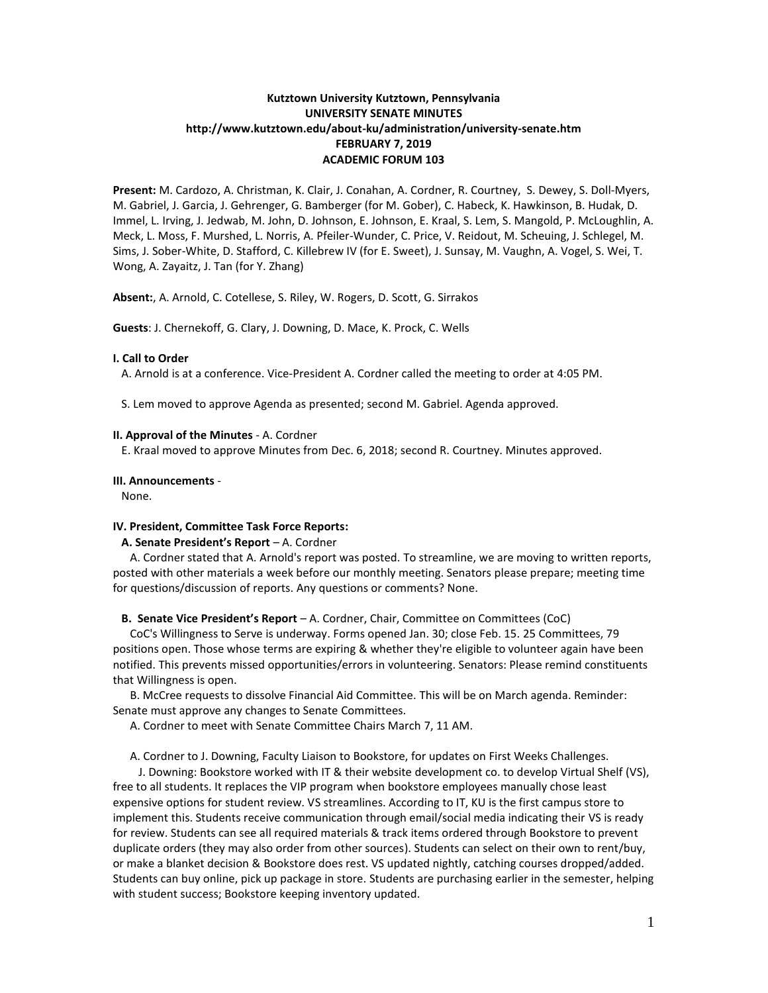# **Kutztown University Kutztown, Pennsylvania UNIVERSITY SENATE MINUTES http://www.kutztown.edu/about-ku/administration/university-senate.htm FEBRUARY 7, 2019 ACADEMIC FORUM 103**

**Present:** M. Cardozo, A. Christman, K. Clair, J. Conahan, A. Cordner, R. Courtney, S. Dewey, S. Doll-Myers, M. Gabriel, J. Garcia, J. Gehrenger, G. Bamberger (for M. Gober), C. Habeck, K. Hawkinson, B. Hudak, D. Immel, L. Irving, J. Jedwab, M. John, D. Johnson, E. Johnson, E. Kraal, S. Lem, S. Mangold, P. McLoughlin, A. Meck, L. Moss, F. Murshed, L. Norris, A. Pfeiler-Wunder, C. Price, V. Reidout, M. Scheuing, J. Schlegel, M. Sims, J. Sober-White, D. Stafford, C. Killebrew IV (for E. Sweet), J. Sunsay, M. Vaughn, A. Vogel, S. Wei, T. Wong, A. Zayaitz, J. Tan (for Y. Zhang)

**Absent:**, A. Arnold, C. Cotellese, S. Riley, W. Rogers, D. Scott, G. Sirrakos

**Guests**: J. Chernekoff, G. Clary, J. Downing, D. Mace, K. Prock, C. Wells

# **I. Call to Order**

A. Arnold is at a conference. Vice-President A. Cordner called the meeting to order at 4:05 PM.

S. Lem moved to approve Agenda as presented; second M. Gabriel. Agenda approved.

# **II. Approval of the Minutes** - A. Cordner

E. Kraal moved to approve Minutes from Dec. 6, 2018; second R. Courtney. Minutes approved.

# **III. Announcements** -

None.

# **IV. President, Committee Task Force Reports:**

### **A. Senate President's Report** – A. Cordner

 A. Cordner stated that A. Arnold's report was posted. To streamline, we are moving to written reports, posted with other materials a week before our monthly meeting. Senators please prepare; meeting time for questions/discussion of reports. Any questions or comments? None.

### **B. Senate Vice President's Report** – A. Cordner, Chair, Committee on Committees (CoC)

 CoC's Willingness to Serve is underway. Forms opened Jan. 30; close Feb. 15. 25 Committees, 79 positions open. Those whose terms are expiring & whether they're eligible to volunteer again have been notified. This prevents missed opportunities/errors in volunteering. Senators: Please remind constituents that Willingness is open.

 B. McCree requests to dissolve Financial Aid Committee. This will be on March agenda. Reminder: Senate must approve any changes to Senate Committees.

A. Cordner to meet with Senate Committee Chairs March 7, 11 AM.

A. Cordner to J. Downing, Faculty Liaison to Bookstore, for updates on First Weeks Challenges.

 J. Downing: Bookstore worked with IT & their website development co. to develop Virtual Shelf (VS), free to all students. It replaces the VIP program when bookstore employees manually chose least expensive options for student review. VS streamlines. According to IT, KU is the first campus store to implement this. Students receive communication through email/social media indicating their VS is ready for review. Students can see all required materials & track items ordered through Bookstore to prevent duplicate orders (they may also order from other sources). Students can select on their own to rent/buy, or make a blanket decision & Bookstore does rest. VS updated nightly, catching courses dropped/added. Students can buy online, pick up package in store. Students are purchasing earlier in the semester, helping with student success; Bookstore keeping inventory updated.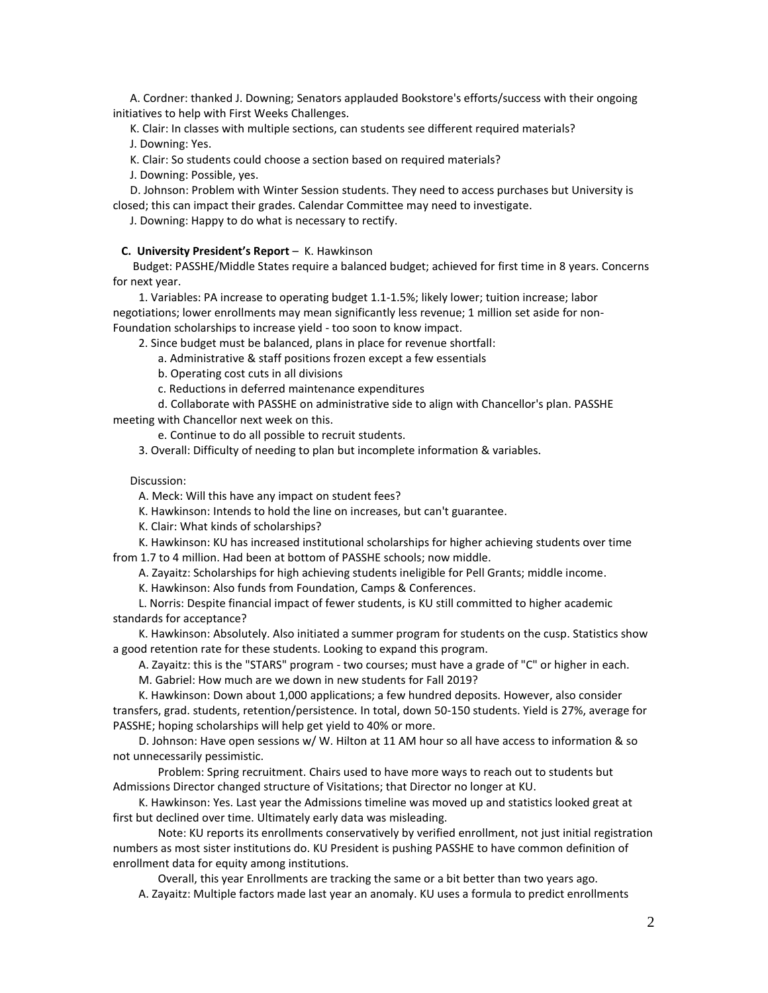A. Cordner: thanked J. Downing; Senators applauded Bookstore's efforts/success with their ongoing initiatives to help with First Weeks Challenges.

K. Clair: In classes with multiple sections, can students see different required materials?

J. Downing: Yes.

K. Clair: So students could choose a section based on required materials?

J. Downing: Possible, yes.

 D. Johnson: Problem with Winter Session students. They need to access purchases but University is closed; this can impact their grades. Calendar Committee may need to investigate.

J. Downing: Happy to do what is necessary to rectify.

### **C. University President's Report** – K. Hawkinson

 Budget: PASSHE/Middle States require a balanced budget; achieved for first time in 8 years. Concerns for next year.

 1. Variables: PA increase to operating budget 1.1-1.5%; likely lower; tuition increase; labor negotiations; lower enrollments may mean significantly less revenue; 1 million set aside for non-Foundation scholarships to increase yield - too soon to know impact.

2. Since budget must be balanced, plans in place for revenue shortfall:

a. Administrative & staff positions frozen except a few essentials

b. Operating cost cuts in all divisions

c. Reductions in deferred maintenance expenditures

d. Collaborate with PASSHE on administrative side to align with Chancellor's plan. PASSHE

meeting with Chancellor next week on this.

e. Continue to do all possible to recruit students.

3. Overall: Difficulty of needing to plan but incomplete information & variables.

# Discussion:

A. Meck: Will this have any impact on student fees?

K. Hawkinson: Intends to hold the line on increases, but can't guarantee.

K. Clair: What kinds of scholarships?

 K. Hawkinson: KU has increased institutional scholarships for higher achieving students over time from 1.7 to 4 million. Had been at bottom of PASSHE schools; now middle.

A. Zayaitz: Scholarships for high achieving students ineligible for Pell Grants; middle income.

K. Hawkinson: Also funds from Foundation, Camps & Conferences.

 L. Norris: Despite financial impact of fewer students, is KU still committed to higher academic standards for acceptance?

 K. Hawkinson: Absolutely. Also initiated a summer program for students on the cusp. Statistics show a good retention rate for these students. Looking to expand this program.

A. Zayaitz: this is the "STARS" program - two courses; must have a grade of "C" or higher in each.

M. Gabriel: How much are we down in new students for Fall 2019?

 K. Hawkinson: Down about 1,000 applications; a few hundred deposits. However, also consider transfers, grad. students, retention/persistence. In total, down 50-150 students. Yield is 27%, average for PASSHE; hoping scholarships will help get yield to 40% or more.

 D. Johnson: Have open sessions w/ W. Hilton at 11 AM hour so all have access to information & so not unnecessarily pessimistic.

 Problem: Spring recruitment. Chairs used to have more ways to reach out to students but Admissions Director changed structure of Visitations; that Director no longer at KU.

 K. Hawkinson: Yes. Last year the Admissions timeline was moved up and statistics looked great at first but declined over time. Ultimately early data was misleading.

Note: KU reports its enrollments conservatively by verified enrollment, not just initial registration numbers as most sister institutions do. KU President is pushing PASSHE to have common definition of enrollment data for equity among institutions.

Overall, this year Enrollments are tracking the same or a bit better than two years ago.

A. Zayaitz: Multiple factors made last year an anomaly. KU uses a formula to predict enrollments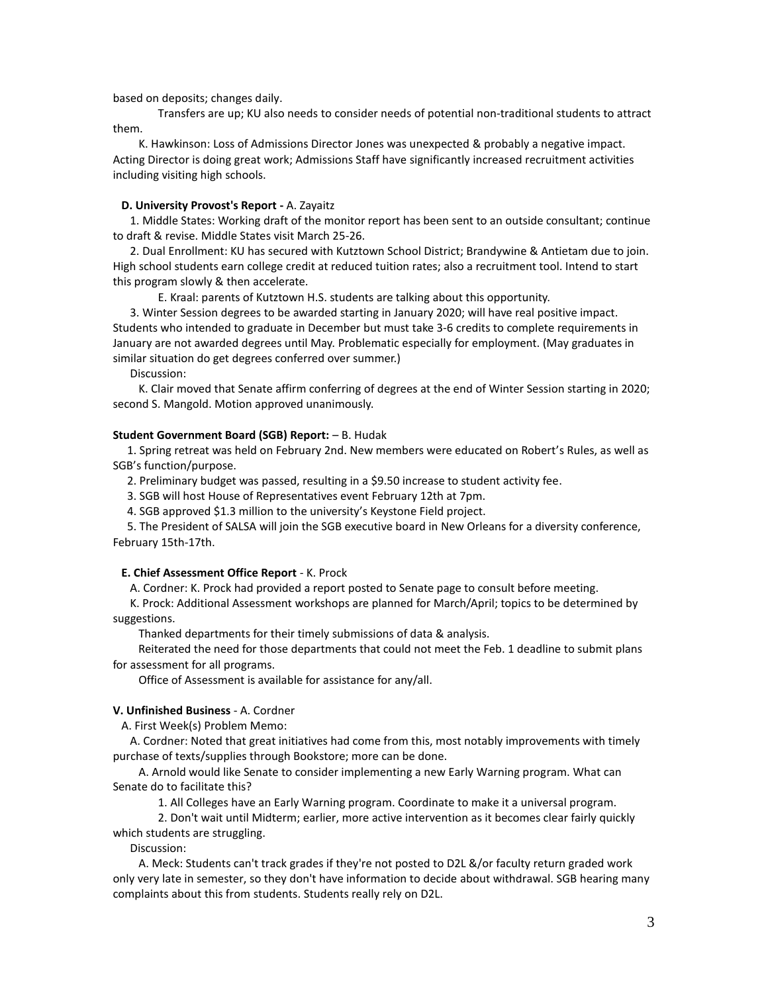based on deposits; changes daily.

Transfers are up; KU also needs to consider needs of potential non-traditional students to attract them.

 K. Hawkinson: Loss of Admissions Director Jones was unexpected & probably a negative impact. Acting Director is doing great work; Admissions Staff have significantly increased recruitment activities including visiting high schools.

### **D. University Provost's Report -** A. Zayaitz

 1. Middle States: Working draft of the monitor report has been sent to an outside consultant; continue to draft & revise. Middle States visit March 25-26.

 2. Dual Enrollment: KU has secured with Kutztown School District; Brandywine & Antietam due to join. High school students earn college credit at reduced tuition rates; also a recruitment tool. Intend to start this program slowly & then accelerate.

E. Kraal: parents of Kutztown H.S. students are talking about this opportunity.

 3. Winter Session degrees to be awarded starting in January 2020; will have real positive impact. Students who intended to graduate in December but must take 3-6 credits to complete requirements in January are not awarded degrees until May. Problematic especially for employment. (May graduates in similar situation do get degrees conferred over summer.)

Discussion:

 K. Clair moved that Senate affirm conferring of degrees at the end of Winter Session starting in 2020; second S. Mangold. Motion approved unanimously.

### **Student Government Board (SGB) Report:** – B. Hudak

 1. Spring retreat was held on February 2nd. New members were educated on Robert's Rules, as well as SGB's function/purpose.

2. Preliminary budget was passed, resulting in a \$9.50 increase to student activity fee.

3. SGB will host House of Representatives event February 12th at 7pm.

4. SGB approved \$1.3 million to the university's Keystone Field project.

 5. The President of SALSA will join the SGB executive board in New Orleans for a diversity conference, February 15th-17th.

# **E. Chief Assessment Office Report** - K. Prock

A. Cordner: K. Prock had provided a report posted to Senate page to consult before meeting.

 K. Prock: Additional Assessment workshops are planned for March/April; topics to be determined by suggestions.

Thanked departments for their timely submissions of data & analysis.

 Reiterated the need for those departments that could not meet the Feb. 1 deadline to submit plans for assessment for all programs.

Office of Assessment is available for assistance for any/all.

# **V. Unfinished Business** - A. Cordner

A. First Week(s) Problem Memo:

 A. Cordner: Noted that great initiatives had come from this, most notably improvements with timely purchase of texts/supplies through Bookstore; more can be done.

 A. Arnold would like Senate to consider implementing a new Early Warning program. What can Senate do to facilitate this?

1. All Colleges have an Early Warning program. Coordinate to make it a universal program.

2. Don't wait until Midterm; earlier, more active intervention as it becomes clear fairly quickly which students are struggling.

Discussion:

 A. Meck: Students can't track grades if they're not posted to D2L &/or faculty return graded work only very late in semester, so they don't have information to decide about withdrawal. SGB hearing many complaints about this from students. Students really rely on D2L.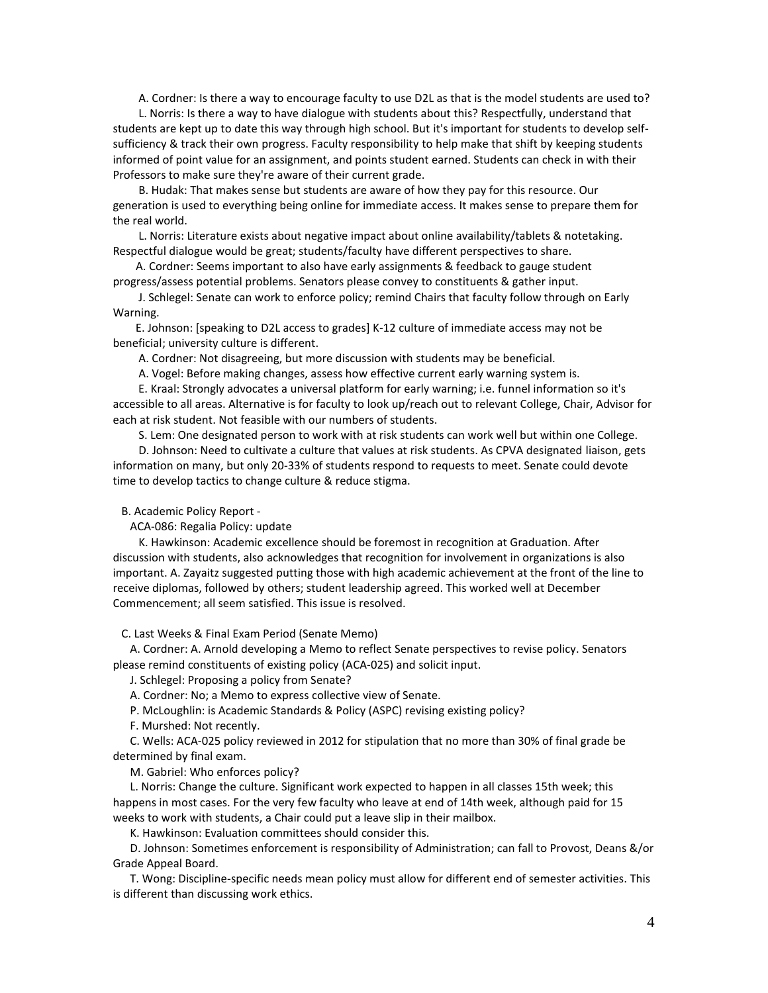A. Cordner: Is there a way to encourage faculty to use D2L as that is the model students are used to?

 L. Norris: Is there a way to have dialogue with students about this? Respectfully, understand that students are kept up to date this way through high school. But it's important for students to develop selfsufficiency & track their own progress. Faculty responsibility to help make that shift by keeping students informed of point value for an assignment, and points student earned. Students can check in with their Professors to make sure they're aware of their current grade.

 B. Hudak: That makes sense but students are aware of how they pay for this resource. Our generation is used to everything being online for immediate access. It makes sense to prepare them for the real world.

 L. Norris: Literature exists about negative impact about online availability/tablets & notetaking. Respectful dialogue would be great; students/faculty have different perspectives to share.

 A. Cordner: Seems important to also have early assignments & feedback to gauge student progress/assess potential problems. Senators please convey to constituents & gather input.

 J. Schlegel: Senate can work to enforce policy; remind Chairs that faculty follow through on Early Warning.

 E. Johnson: [speaking to D2L access to grades] K-12 culture of immediate access may not be beneficial; university culture is different.

A. Cordner: Not disagreeing, but more discussion with students may be beneficial.

A. Vogel: Before making changes, assess how effective current early warning system is.

 E. Kraal: Strongly advocates a universal platform for early warning; i.e. funnel information so it's accessible to all areas. Alternative is for faculty to look up/reach out to relevant College, Chair, Advisor for each at risk student. Not feasible with our numbers of students.

S. Lem: One designated person to work with at risk students can work well but within one College.

 D. Johnson: Need to cultivate a culture that values at risk students. As CPVA designated liaison, gets information on many, but only 20-33% of students respond to requests to meet. Senate could devote time to develop tactics to change culture & reduce stigma.

B. Academic Policy Report -

ACA-086: Regalia Policy: update

 K. Hawkinson: Academic excellence should be foremost in recognition at Graduation. After discussion with students, also acknowledges that recognition for involvement in organizations is also important. A. Zayaitz suggested putting those with high academic achievement at the front of the line to receive diplomas, followed by others; student leadership agreed. This worked well at December Commencement; all seem satisfied. This issue is resolved.

C. Last Weeks & Final Exam Period (Senate Memo)

 A. Cordner: A. Arnold developing a Memo to reflect Senate perspectives to revise policy. Senators please remind constituents of existing policy (ACA-025) and solicit input.

J. Schlegel: Proposing a policy from Senate?

A. Cordner: No; a Memo to express collective view of Senate.

P. McLoughlin: is Academic Standards & Policy (ASPC) revising existing policy?

F. Murshed: Not recently.

 C. Wells: ACA-025 policy reviewed in 2012 for stipulation that no more than 30% of final grade be determined by final exam.

M. Gabriel: Who enforces policy?

 L. Norris: Change the culture. Significant work expected to happen in all classes 15th week; this happens in most cases. For the very few faculty who leave at end of 14th week, although paid for 15 weeks to work with students, a Chair could put a leave slip in their mailbox.

K. Hawkinson: Evaluation committees should consider this.

 D. Johnson: Sometimes enforcement is responsibility of Administration; can fall to Provost, Deans &/or Grade Appeal Board.

 T. Wong: Discipline-specific needs mean policy must allow for different end of semester activities. This is different than discussing work ethics.